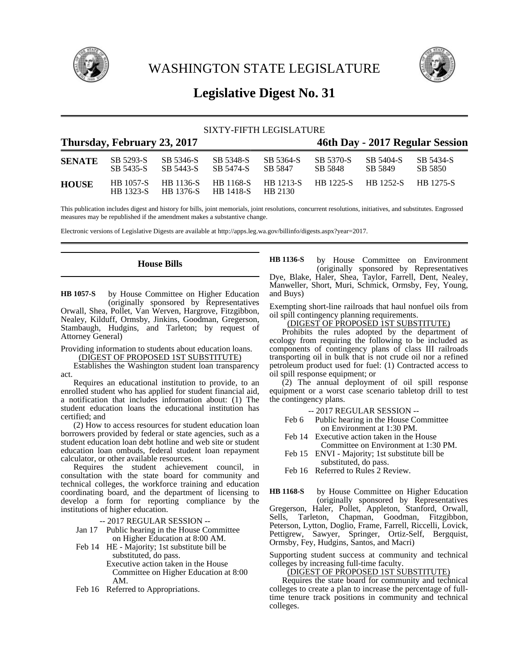

WASHINGTON STATE LEGISLATURE



# **Legislative Digest No. 31**

| SIXTY-FIFTH LEGISLATURE |                               |                        |                                 |                             |                      |                               |                      |  |
|-------------------------|-------------------------------|------------------------|---------------------------------|-----------------------------|----------------------|-------------------------------|----------------------|--|
|                         | Thursday, February 23, 2017   |                        | 46th Day - 2017 Regular Session |                             |                      |                               |                      |  |
| <b>SENATE</b>           | SB 5293-S<br>SB 5435-S        | SB 5346-S<br>SB 5443-S | SB 5348-S<br>SB 5474-S          | SB 5364-S<br>SB 5847        | SB 5370-S<br>SB 5848 | SB 5404-S<br>SB 5849          | SB 5434-S<br>SB 5850 |  |
| <b>HOUSE</b>            | <b>HB</b> 1057-S<br>HB 1323-S | HB 1136-S<br>HB 1376-S | HB 1168-S<br><b>HB</b> 1418-S   | <b>HB</b> 1213-S<br>HB 2130 |                      | HB 1225-S HB 1252-S HB 1275-S |                      |  |

This publication includes digest and history for bills, joint memorials, joint resolutions, concurrent resolutions, initiatives, and substitutes. Engrossed measures may be republished if the amendment makes a substantive change.

Electronic versions of Legislative Digests are available at http://apps.leg.wa.gov/billinfo/digests.aspx?year=2017.

## **House Bills**

by House Committee on Higher Education (originally sponsored by Representatives Orwall, Shea, Pollet, Van Werven, Hargrove, Fitzgibbon, Nealey, Kilduff, Ormsby, Jinkins, Goodman, Gregerson, Stambaugh, Hudgins, and Tarleton; by request of Attorney General) **HB 1057-S**

Providing information to students about education loans. (DIGEST OF PROPOSED 1ST SUBSTITUTE)

Establishes the Washington student loan transparency act.

Requires an educational institution to provide, to an enrolled student who has applied for student financial aid, a notification that includes information about: (1) The student education loans the educational institution has certified; and

(2) How to access resources for student education loan borrowers provided by federal or state agencies, such as a student education loan debt hotline and web site or student education loan ombuds, federal student loan repayment calculator, or other available resources.

Requires the student achievement council, in consultation with the state board for community and technical colleges, the workforce training and education coordinating board, and the department of licensing to develop a form for reporting compliance by the institutions of higher education.

-- 2017 REGULAR SESSION --

- Jan 17 Public hearing in the House Committee on Higher Education at 8:00 AM.
- Feb 14 HE Majority; 1st substitute bill be substituted, do pass. Executive action taken in the House

Committee on Higher Education at 8:00 AM.

Feb 16 Referred to Appropriations.

by House Committee on Environment (originally sponsored by Representatives Dye, Blake, Haler, Shea, Taylor, Farrell, Dent, Nealey, Manweller, Short, Muri, Schmick, Ormsby, Fey, Young, and Buys) **HB 1136-S**

Exempting short-line railroads that haul nonfuel oils from oil spill contingency planning requirements.

(DIGEST OF PROPOSED 1ST SUBSTITUTE)

Prohibits the rules adopted by the department of ecology from requiring the following to be included as components of contingency plans of class III railroads transporting oil in bulk that is not crude oil nor a refined petroleum product used for fuel: (1) Contracted access to oil spill response equipment; or

(2) The annual deployment of oil spill response equipment or a worst case scenario tabletop drill to test the contingency plans.

-- 2017 REGULAR SESSION --

- Feb 6 Public hearing in the House Committee on Environment at 1:30 PM.
- Feb 14 Executive action taken in the House Committee on Environment at 1:30 PM.
- Feb 15 ENVI Majority; 1st substitute bill be substituted, do pass.
- Feb 16 Referred to Rules 2 Review.

by House Committee on Higher Education (originally sponsored by Representatives Gregerson, Haler, Pollet, Appleton, Stanford, Orwall, Sells, Tarleton, Chapman, Goodman, Fitzgibbon, Peterson, Lytton, Doglio, Frame, Farrell, Riccelli, Lovick, Pettigrew, Sawyer, Springer, Ortiz-Self, Bergquist, Ormsby, Fey, Hudgins, Santos, and Macri) **HB 1168-S**

Supporting student success at community and technical colleges by increasing full-time faculty.

(DIGEST OF PROPOSED 1ST SUBSTITUTE)

Requires the state board for community and technical colleges to create a plan to increase the percentage of fulltime tenure track positions in community and technical colleges.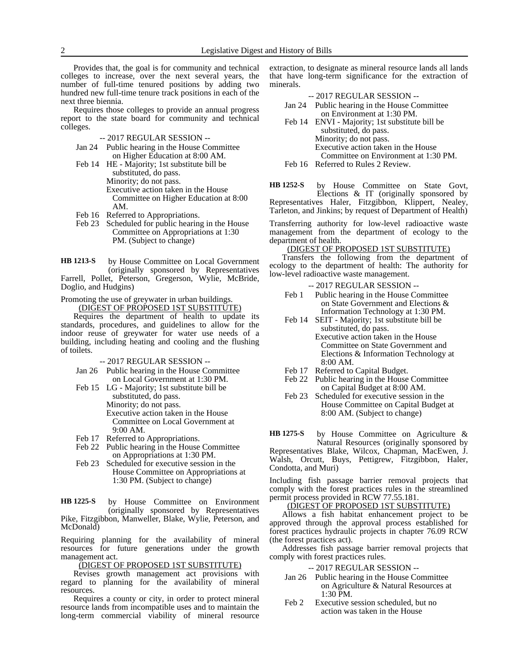Provides that, the goal is for community and technical colleges to increase, over the next several years, the number of full-time tenured positions by adding two hundred new full-time tenure track positions in each of the next three biennia.

Requires those colleges to provide an annual progress report to the state board for community and technical colleges.

- -- 2017 REGULAR SESSION --
- Jan 24 Public hearing in the House Committee on Higher Education at 8:00 AM.
- Feb 14 HE Majority; 1st substitute bill be substituted, do pass. Minority; do not pass. Executive action taken in the House Committee on Higher Education at 8:00 AM.
- Feb 16 Referred to Appropriations.
- Feb 23 Scheduled for public hearing in the House Committee on Appropriations at 1:30 PM. (Subject to change)

by House Committee on Local Government (originally sponsored by Representatives Farrell, Pollet, Peterson, Gregerson, Wylie, McBride, Doglio, and Hudgins) **HB 1213-S**

Promoting the use of greywater in urban buildings. (DIGEST OF PROPOSED 1ST SUBSTITUTE)

Requires the department of health to update its standards, procedures, and guidelines to allow for the indoor reuse of greywater for water use needs of a building, including heating and cooling and the flushing of toilets.

-- 2017 REGULAR SESSION --

- Jan 26 Public hearing in the House Committee on Local Government at 1:30 PM.
- Feb 15 LG Majority; 1st substitute bill be substituted, do pass. Minority; do not pass. Executive action taken in the House Committee on Local Government at 9:00 AM.
- Feb 17 Referred to Appropriations.
- Feb 22 Public hearing in the House Committee on Appropriations at 1:30 PM.
- Feb 23 Scheduled for executive session in the House Committee on Appropriations at 1:30 PM. (Subject to change)

by House Committee on Environment (originally sponsored by Representatives Pike, Fitzgibbon, Manweller, Blake, Wylie, Peterson, and McDonald) **HB 1225-S**

Requiring planning for the availability of mineral resources for future generations under the growth management act.

(DIGEST OF PROPOSED 1ST SUBSTITUTE)

Revises growth management act provisions with regard to planning for the availability of mineral resources.

Requires a county or city, in order to protect mineral resource lands from incompatible uses and to maintain the long-term commercial viability of mineral resource extraction, to designate as mineral resource lands all lands that have long-term significance for the extraction of minerals.

| --2017 REGULAR SESSION -- |                                                |  |  |  |  |
|---------------------------|------------------------------------------------|--|--|--|--|
|                           | Jan 24 Public hearing in the House Committee   |  |  |  |  |
|                           | on Environment at 1:30 PM.                     |  |  |  |  |
|                           | Feb 14 ENVI - Majority; 1st substitute bill be |  |  |  |  |
|                           | substituted, do pass.                          |  |  |  |  |
|                           | Minority; do not pass.                         |  |  |  |  |
|                           | Executive action taken in the House            |  |  |  |  |

Committee on Environment at 1:30 PM.

Feb 16 Referred to Rules 2 Review.

by House Committee on State Govt, Elections & IT (originally sponsored by Representatives Haler, Fitzgibbon, Klippert, Nealey, Tarleton, and Jinkins; by request of Department of Health) **HB 1252-S**

Transferring authority for low-level radioactive waste management from the department of ecology to the department of health.

### (DIGEST OF PROPOSED 1ST SUBSTITUTE)

Transfers the following from the department of ecology to the department of health: The authority for low-level radioactive waste management.

-- 2017 REGULAR SESSION --

- Feb 1 Public hearing in the House Committee on State Government and Elections & Information Technology at 1:30 PM.
- Feb 14 SEIT Majority; 1st substitute bill be substituted, do pass. Executive action taken in the House Committee on State Government and Elections & Information Technology at 8:00 AM.
- Feb 17 Referred to Capital Budget.
- Feb 22 Public hearing in the House Committee on Capital Budget at 8:00 AM.
- Feb 23 Scheduled for executive session in the House Committee on Capital Budget at 8:00 AM. (Subject to change)

by House Committee on Agriculture & Natural Resources (originally sponsored by Representatives Blake, Wilcox, Chapman, MacEwen, J. Walsh, Orcutt, Buys, Pettigrew, Fitzgibbon, Haler, Condotta, and Muri) **HB 1275-S**

Including fish passage barrier removal projects that comply with the forest practices rules in the streamlined permit process provided in RCW 77.55.181.

(DIGEST OF PROPOSED 1ST SUBSTITUTE)

Allows a fish habitat enhancement project to be approved through the approval process established for forest practices hydraulic projects in chapter 76.09 RCW (the forest practices act).

Addresses fish passage barrier removal projects that comply with forest practices rules.

- -- 2017 REGULAR SESSION --
- Jan 26 Public hearing in the House Committee on Agriculture & Natural Resources at 1:30 PM.
- Feb 2 Executive session scheduled, but no action was taken in the House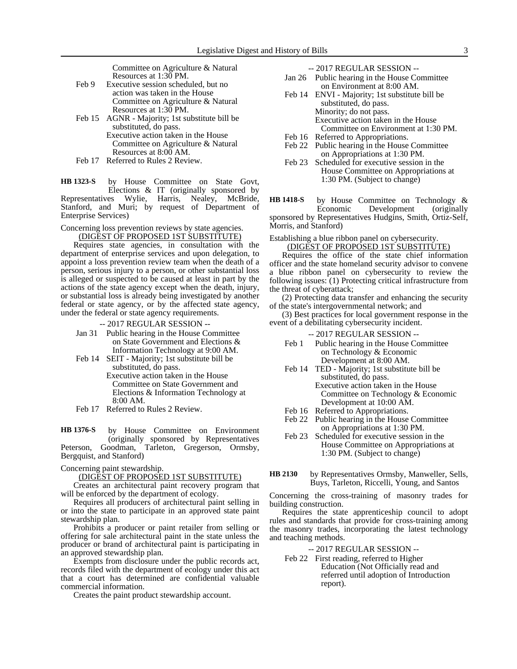Committee on Agriculture & Natural Resources at 1:30 PM.

- Feb 9 Executive session scheduled, but no action was taken in the House Committee on Agriculture & Natural Resources at 1:30 PM.
- Feb 15 AGNR Majority; 1st substitute bill be substituted, do pass. Executive action taken in the House Committee on Agriculture & Natural Resources at 8:00 AM.
- Feb 17 Referred to Rules 2 Review.

by House Committee on State Govt, Elections & IT (originally sponsored by<br>Representatives Wylie, Harris, Nealey, McBride, Wylie, Harris, Nealey, McBride, Stanford, and Muri; by request of Department of Enterprise Services) **HB 1323-S**

Concerning loss prevention reviews by state agencies. (DIGEST OF PROPOSED 1ST SUBSTITUTE)

Requires state agencies, in consultation with the department of enterprise services and upon delegation, to appoint a loss prevention review team when the death of a person, serious injury to a person, or other substantial loss is alleged or suspected to be caused at least in part by the actions of the state agency except when the death, injury, or substantial loss is already being investigated by another federal or state agency, or by the affected state agency, under the federal or state agency requirements.

-- 2017 REGULAR SESSION --

- Jan 31 Public hearing in the House Committee on State Government and Elections & Information Technology at 9:00 AM.
- Feb 14 SEIT Majority; 1st substitute bill be substituted, do pass.
	- Executive action taken in the House Committee on State Government and Elections & Information Technology at 8:00 AM.
- Feb 17 Referred to Rules 2 Review.

by House Committee on Environment (originally sponsored by Representatives Peterson, Goodman, Tarleton, Gregerson, Ormsby, Bergquist, and Stanford) **HB 1376-S**

Concerning paint stewardship.

<u>(DIGEST OF PROPOSED 1ST SUBSTITUTE)</u>

Creates an architectural paint recovery program that will be enforced by the department of ecology.

Requires all producers of architectural paint selling in or into the state to participate in an approved state paint stewardship plan.

Prohibits a producer or paint retailer from selling or offering for sale architectural paint in the state unless the producer or brand of architectural paint is participating in an approved stewardship plan.

Exempts from disclosure under the public records act, records filed with the department of ecology under this act that a court has determined are confidential valuable commercial information.

Creates the paint product stewardship account.

-- 2017 REGULAR SESSION --

- Jan 26 Public hearing in the House Committee on Environment at 8:00 AM.
- Feb 14 ENVI Majority; 1st substitute bill be substituted, do pass. Minority; do not pass. Executive action taken in the House Committee on Environment at 1:30 PM.
- Feb 16 Referred to Appropriations.
- Feb 22 Public hearing in the House Committee on Appropriations at 1:30 PM.
- Feb 23 Scheduled for executive session in the House Committee on Appropriations at 1:30 PM. (Subject to change)

by House Committee on Technology & Economic Development (originally **HB 1418-S**

sponsored by Representatives Hudgins, Smith, Ortiz-Self, Morris, and Stanford)

Establishing a blue ribbon panel on cybersecurity.

(DIGEST OF PROPOSED 1ST SUBSTITUTE) Requires the office of the state chief information officer and the state homeland security advisor to convene a blue ribbon panel on cybersecurity to review the following issues: (1) Protecting critical infrastructure from the threat of cyberattack;

(2) Protecting data transfer and enhancing the security of the state's intergovernmental network; and

(3) Best practices for local government response in the event of a debilitating cybersecurity incident.

-- 2017 REGULAR SESSION --

- Feb 1 Public hearing in the House Committee on Technology & Economic Development at 8:00 AM.
- Feb 14 TED Majority; 1st substitute bill be substituted, do pass. Executive action taken in the House Committee on Technology & Economic
- Development at 10:00 AM.
- Feb 16 Referred to Appropriations. Feb 22 Public hearing in the House Committee
- on Appropriations at 1:30 PM. Feb 23 Scheduled for executive session in the House Committee on Appropriations at 1:30 PM. (Subject to change)
- by Representatives Ormsby, Manweller, Sells, Buys, Tarleton, Riccelli, Young, and Santos **HB 2130**

Concerning the cross-training of masonry trades for building construction.

Requires the state apprenticeship council to adopt rules and standards that provide for cross-training among the masonry trades, incorporating the latest technology and teaching methods.

-- 2017 REGULAR SESSION --

Feb 22 First reading, referred to Higher Education (Not Officially read and referred until adoption of Introduction report).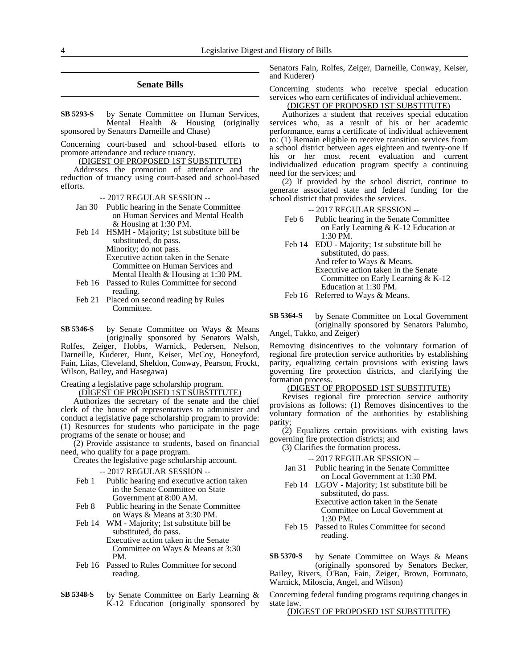### **Senate Bills**

by Senate Committee on Human Services, Mental Health & Housing (originally sponsored by Senators Darneille and Chase) **SB 5293-S**

Concerning court-based and school-based efforts to promote attendance and reduce truancy.

(DIGEST OF PROPOSED 1ST SUBSTITUTE)

Addresses the promotion of attendance and the reduction of truancy using court-based and school-based efforts.

-- 2017 REGULAR SESSION --

- Jan 30 Public hearing in the Senate Committee on Human Services and Mental Health & Housing at 1:30 PM.
- Feb 14 HSMH Majority; 1st substitute bill be substituted, do pass.

Minority; do not pass.

Executive action taken in the Senate Committee on Human Services and Mental Health & Housing at 1:30 PM.

- Feb 16 Passed to Rules Committee for second reading.
- Feb 21 Placed on second reading by Rules Committee.
- by Senate Committee on Ways & Means (originally sponsored by Senators Walsh, **SB 5346-S**

Rolfes, Zeiger, Hobbs, Warnick, Pedersen, Nelson, Darneille, Kuderer, Hunt, Keiser, McCoy, Honeyford, Fain, Liias, Cleveland, Sheldon, Conway, Pearson, Frockt, Wilson, Bailey, and Hasegawa)

### Creating a legislative page scholarship program. (DIGEST OF PROPOSED 1ST SUBSTITUTE)

Authorizes the secretary of the senate and the chief clerk of the house of representatives to administer and conduct a legislative page scholarship program to provide: (1) Resources for students who participate in the page programs of the senate or house; and

(2) Provide assistance to students, based on financial need, who qualify for a page program.

Creates the legislative page scholarship account.

-- 2017 REGULAR SESSION --

- Feb 1 Public hearing and executive action taken in the Senate Committee on State Government at 8:00 AM.
- Feb 8 Public hearing in the Senate Committee on Ways & Means at 3:30 PM.
- Feb 14 WM Majority; 1st substitute bill be substituted, do pass. Executive action taken in the Senate Committee on Ways & Means at 3:30 PM.
- Feb 16 Passed to Rules Committee for second reading.
- by Senate Committee on Early Learning & K-12 Education (originally sponsored by **SB 5348-S**

Senators Fain, Rolfes, Zeiger, Darneille, Conway, Keiser, and Kuderer)

Concerning students who receive special education services who earn certificates of individual achievement.

## (DIGEST OF PROPOSED 1ST SUBSTITUTE)

Authorizes a student that receives special education services who, as a result of his or her academic performance, earns a certificate of individual achievement to: (1) Remain eligible to receive transition services from a school district between ages eighteen and twenty-one if his or her most recent evaluation and current individualized education program specify a continuing need for the services; and

(2) If provided by the school district, continue to generate associated state and federal funding for the school district that provides the services.

-- 2017 REGULAR SESSION --

- Feb 6 Public hearing in the Senate Committee on Early Learning & K-12 Education at 1:30 PM.
- Feb 14 EDU Majority; 1st substitute bill be substituted, do pass. And refer to Ways & Means. Executive action taken in the Senate Committee on Early Learning & K-12 Education at 1:30 PM.
- Feb 16 Referred to Ways & Means.
- by Senate Committee on Local Government (originally sponsored by Senators Palumbo, Angel, Takko, and Zeiger) **SB 5364-S**

Removing disincentives to the voluntary formation of regional fire protection service authorities by establishing parity, equalizing certain provisions with existing laws governing fire protection districts, and clarifying the formation process.

### (DIGEST OF PROPOSED 1ST SUBSTITUTE)

Revises regional fire protection service authority provisions as follows: (1) Removes disincentives to the voluntary formation of the authorities by establishing parity;

(2) Equalizes certain provisions with existing laws governing fire protection districts; and

(3) Clarifies the formation process.

-- 2017 REGULAR SESSION --

- Jan 31 Public hearing in the Senate Committee on Local Government at 1:30 PM.
- Feb 14 LGOV Majority; 1st substitute bill be substituted, do pass. Executive action taken in the Senate Committee on Local Government at
- 1:30 PM. Feb 15 Passed to Rules Committee for second reading.

by Senate Committee on Ways & Means (originally sponsored by Senators Becker, **SB 5370-S**

Bailey, Rivers, O'Ban, Fain, Zeiger, Brown, Fortunato, Warnick, Miloscia, Angel, and Wilson)

Concerning federal funding programs requiring changes in state law.

(DIGEST OF PROPOSED 1ST SUBSTITUTE)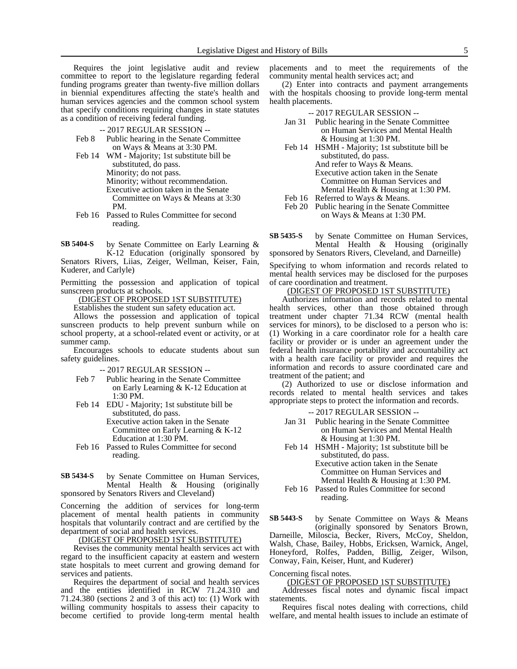Requires the joint legislative audit and review committee to report to the legislature regarding federal funding programs greater than twenty-five million dollars in biennial expenditures affecting the state's health and human services agencies and the common school system that specify conditions requiring changes in state statutes as a condition of receiving federal funding.

-- 2017 REGULAR SESSION --

- Feb 8 Public hearing in the Senate Committee on Ways & Means at 3:30 PM.
- Feb 14 WM Majority; 1st substitute bill be substituted, do pass. Minority; do not pass. Minority; without recommendation. Executive action taken in the Senate Committee on Ways & Means at 3:30 PM.
- Feb 16 Passed to Rules Committee for second reading.

by Senate Committee on Early Learning & K-12 Education (originally sponsored by Senators Rivers, Liias, Zeiger, Wellman, Keiser, Fain, Kuderer, and Carlyle) **SB 5404-S**

Permitting the possession and application of topical sunscreen products at schools.

(DIGEST OF PROPOSED 1ST SUBSTITUTE)

Establishes the student sun safety education act.

Allows the possession and application of topical sunscreen products to help prevent sunburn while on school property, at a school-related event or activity, or at summer camp.

Encourages schools to educate students about sun safety guidelines.

-- 2017 REGULAR SESSION --

- Feb 7 Public hearing in the Senate Committee on Early Learning & K-12 Education at 1:30 PM.
- Feb 14 EDU Majority; 1st substitute bill be substituted, do pass. Executive action taken in the Senate

Committee on Early Learning & K-12 Education at 1:30 PM.

Feb 16 Passed to Rules Committee for second reading.

### by Senate Committee on Human Services, Mental Health & Housing (originally sponsored by Senators Rivers and Cleveland) **SB 5434-S**

Concerning the addition of services for long-term placement of mental health patients in community hospitals that voluntarily contract and are certified by the department of social and health services.

(DIGEST OF PROPOSED 1ST SUBSTITUTE)

Revises the community mental health services act with regard to the insufficient capacity at eastern and western state hospitals to meet current and growing demand for services and patients.

Requires the department of social and health services and the entities identified in RCW 71.24.310 and 71.24.380 (sections 2 and 3 of this act) to: (1) Work with willing community hospitals to assess their capacity to become certified to provide long-term mental health placements and to meet the requirements of the community mental health services act; and

(2) Enter into contracts and payment arrangements with the hospitals choosing to provide long-term mental health placements.

-- 2017 REGULAR SESSION --

- Jan 31 Public hearing in the Senate Committee on Human Services and Mental Health & Housing at 1:30 PM.
- Feb 14 HSMH Majority; 1st substitute bill be substituted, do pass. And refer to Ways & Means. Executive action taken in the Senate Committee on Human Services and Mental Health & Housing at 1:30 PM.
- Feb 16 Referred to Ways & Means.
- Feb 20 Public hearing in the Senate Committee on Ways & Means at 1:30 PM.
- by Senate Committee on Human Services, Mental Health & Housing (originally sponsored by Senators Rivers, Cleveland, and Darneille) **SB 5435-S**

Specifying to whom information and records related to mental health services may be disclosed for the purposes of care coordination and treatment.

## (DIGEST OF PROPOSED 1ST SUBSTITUTE)

Authorizes information and records related to mental health services, other than those obtained through treatment under chapter 71.34 RCW (mental health services for minors), to be disclosed to a person who is: (1) Working in a care coordinator role for a health care facility or provider or is under an agreement under the federal health insurance portability and accountability act with a health care facility or provider and requires the information and records to assure coordinated care and treatment of the patient; and

(2) Authorized to use or disclose information and records related to mental health services and takes appropriate steps to protect the information and records.

-- 2017 REGULAR SESSION --

- Jan 31 Public hearing in the Senate Committee on Human Services and Mental Health & Housing at 1:30 PM.
- Feb 14 HSMH Majority; 1st substitute bill be substituted, do pass. Executive action taken in the Senate Committee on Human Services and Mental Health & Housing at 1:30 PM.
- Feb 16 Passed to Rules Committee for second reading.

by Senate Committee on Ways & Means (originally sponsored by Senators Brown, Darneille, Miloscia, Becker, Rivers, McCoy, Sheldon, Walsh, Chase, Bailey, Hobbs, Ericksen, Warnick, Angel, Honeyford, Rolfes, Padden, Billig, Zeiger, Wilson, Conway, Fain, Keiser, Hunt, and Kuderer) **SB 5443-S**

Concerning fiscal notes.

(DIGEST OF PROPOSED 1ST SUBSTITUTE)

Addresses fiscal notes and dynamic fiscal impact statements.

Requires fiscal notes dealing with corrections, child welfare, and mental health issues to include an estimate of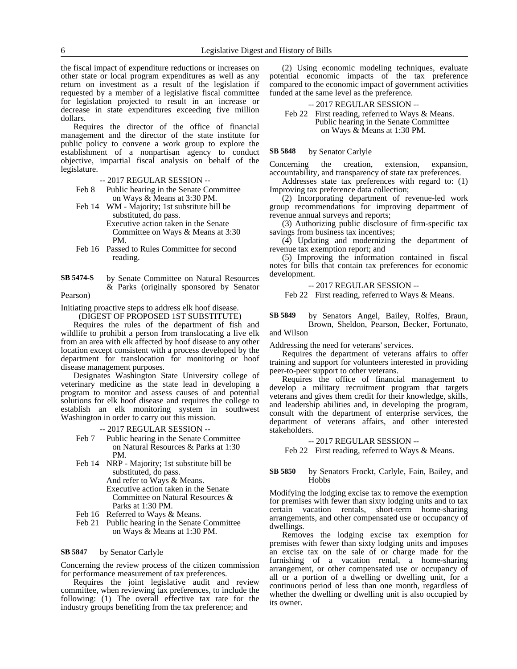the fiscal impact of expenditure reductions or increases on other state or local program expenditures as well as any return on investment as a result of the legislation if requested by a member of a legislative fiscal committee for legislation projected to result in an increase or decrease in state expenditures exceeding five million dollars.

Requires the director of the office of financial management and the director of the state institute for public policy to convene a work group to explore the establishment of a nonpartisan agency to conduct objective, impartial fiscal analysis on behalf of the legislature.

-- 2017 REGULAR SESSION --

Feb 8 Public hearing in the Senate Committee on Ways & Means at 3:30 PM.

Feb 14 WM - Majority; 1st substitute bill be substituted, do pass. Executive action taken in the Senate Committee on Ways & Means at 3:30

PM.

Feb 16 Passed to Rules Committee for second reading.

by Senate Committee on Natural Resources & Parks (originally sponsored by Senator **SB 5474-S**

Pearson)

Initiating proactive steps to address elk hoof disease.

(DIGEST OF PROPOSED 1ST SUBSTITUTE)

Requires the rules of the department of fish and wildlife to prohibit a person from translocating a live elk from an area with elk affected by hoof disease to any other location except consistent with a process developed by the department for translocation for monitoring or hoof disease management purposes.

Designates Washington State University college of veterinary medicine as the state lead in developing a program to monitor and assess causes of and potential solutions for elk hoof disease and requires the college to establish an elk monitoring system in southwest Washington in order to carry out this mission.

-- 2017 REGULAR SESSION --

- Feb 7 Public hearing in the Senate Committee on Natural Resources & Parks at 1:30 PM.
- Feb 14 NRP Majority; 1st substitute bill be substituted, do pass.

And refer to Ways & Means. Executive action taken in the Senate Committee on Natural Resources & Parks at 1:30 PM.

- Feb 16 Referred to Ways & Means.
- Feb 21 Public hearing in the Senate Committee on Ways & Means at 1:30 PM.

#### by Senator Carlyle **SB 5847**

Concerning the review process of the citizen commission for performance measurement of tax preferences.

Requires the joint legislative audit and review committee, when reviewing tax preferences, to include the following: (1) The overall effective tax rate for the industry groups benefiting from the tax preference; and

(2) Using economic modeling techniques, evaluate potential economic impacts of the tax preference compared to the economic impact of government activities funded at the same level as the preference.

### -- 2017 REGULAR SESSION --

Feb 22 First reading, referred to Ways & Means. Public hearing in the Senate Committee on Ways & Means at 1:30 PM.

#### by Senator Carlyle **SB 5848**

Concerning the creation, extension, expansion, accountability, and transparency of state tax preferences.

Addresses state tax preferences with regard to: (1) Improving tax preference data collection;

(2) Incorporating department of revenue-led work group recommendations for improving department of revenue annual surveys and reports;

(3) Authorizing public disclosure of firm-specific tax savings from business tax incentives;

(4) Updating and modernizing the department of revenue tax exemption report; and

(5) Improving the information contained in fiscal notes for bills that contain tax preferences for economic development.

-- 2017 REGULAR SESSION --

Feb 22 First reading, referred to Ways & Means.

by Senators Angel, Bailey, Rolfes, Braun, Brown, Sheldon, Pearson, Becker, Fortunato, **SB 5849**

and Wilson

Addressing the need for veterans' services.

Requires the department of veterans affairs to offer training and support for volunteers interested in providing peer-to-peer support to other veterans.

Requires the office of financial management to develop a military recruitment program that targets veterans and gives them credit for their knowledge, skills, and leadership abilities and, in developing the program, consult with the department of enterprise services, the department of veterans affairs, and other interested stakeholders.

-- 2017 REGULAR SESSION --

Feb 22 First reading, referred to Ways & Means.

### by Senators Frockt, Carlyle, Fain, Bailey, and **Hobbs SB 5850**

Modifying the lodging excise tax to remove the exemption for premises with fewer than sixty lodging units and to tax certain vacation rentals, short-term home-sharing arrangements, and other compensated use or occupancy of dwellings.

Removes the lodging excise tax exemption for premises with fewer than sixty lodging units and imposes an excise tax on the sale of or charge made for the furnishing of a vacation rental, a home-sharing arrangement, or other compensated use or occupancy of all or a portion of a dwelling or dwelling unit, for a continuous period of less than one month, regardless of whether the dwelling or dwelling unit is also occupied by its owner.